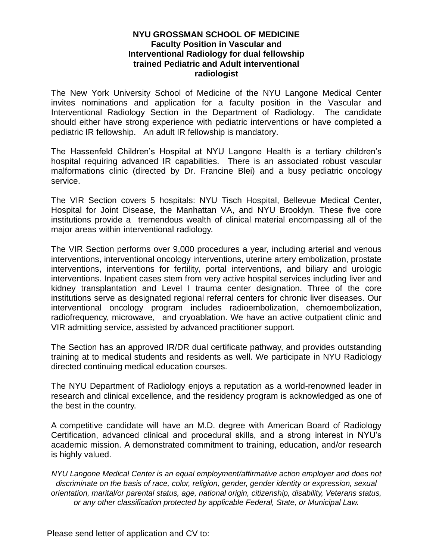## **NYU GROSSMAN SCHOOL OF MEDICINE Faculty Position in Vascular and Interventional Radiology for dual fellowship trained Pediatric and Adult interventional radiologist**

The New York University School of Medicine of the NYU Langone Medical Center invites nominations and application for a faculty position in the Vascular and Interventional Radiology Section in the Department of Radiology. The candidate should either have strong experience with pediatric interventions or have completed a pediatric IR fellowship. An adult IR fellowship is mandatory.

The Hassenfeld Children's Hospital at NYU Langone Health is a tertiary children's hospital requiring advanced IR capabilities. There is an associated robust vascular malformations clinic (directed by Dr. Francine Blei) and a busy pediatric oncology service.

The VIR Section covers 5 hospitals: NYU Tisch Hospital, Bellevue Medical Center, Hospital for Joint Disease, the Manhattan VA, and NYU Brooklyn. These five core institutions provide a tremendous wealth of clinical material encompassing all of the major areas within interventional radiology.

The VIR Section performs over 9,000 procedures a year, including arterial and venous interventions, interventional oncology interventions, uterine artery embolization, prostate interventions, interventions for fertility, portal interventions, and biliary and urologic interventions. Inpatient cases stem from very active hospital services including liver and kidney transplantation and Level I trauma center designation. Three of the core institutions serve as designated regional referral centers for chronic liver diseases. Our interventional oncology program includes radioembolization, chemoembolization, radiofrequency, microwave, and cryoablation. We have an active outpatient clinic and VIR admitting service, assisted by advanced practitioner support.

The Section has an approved IR/DR dual certificate pathway, and provides outstanding training at to medical students and residents as well. We participate in NYU Radiology directed continuing medical education courses.

The NYU Department of Radiology enjoys a reputation as a world-renowned leader in research and clinical excellence, and the residency program is acknowledged as one of the best in the country.

A competitive candidate will have an M.D. degree with American Board of Radiology Certification, advanced clinical and procedural skills, and a strong interest in NYU's academic mission. A demonstrated commitment to training, education, and/or research is highly valued.

*NYU Langone Medical Center is an equal employment/affirmative action employer and does not discriminate on the basis of race, color, religion, gender, gender identity or expression, sexual orientation, marital/or parental status, age, national origin, citizenship, disability, Veterans status, or any other classification protected by applicable Federal, State, or Municipal Law.*

Please send letter of application and CV to: